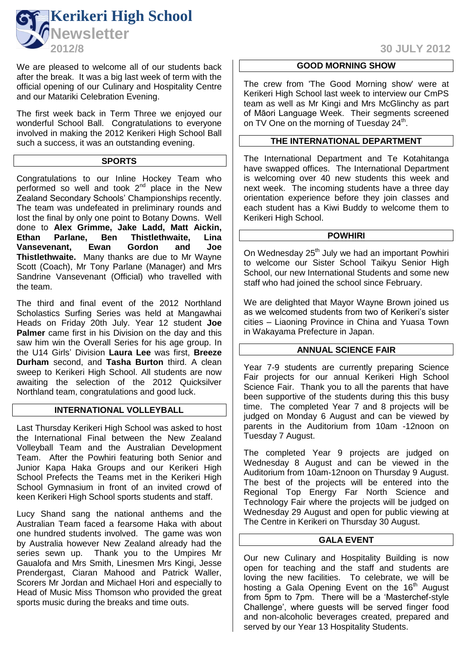

We are pleased to welcome all of our students back after the break. It was a big last week of term with the official opening of our Culinary and Hospitality Centre and our Matariki Celebration Evening.

The first week back in Term Three we enjoyed our wonderful School Ball. Congratulations to everyone involved in making the 2012 Kerikeri High School Ball such a success, it was an outstanding evening.

### **SPORTS**

Congratulations to our Inline Hockey Team who performed so well and took  $2<sup>nd</sup>$  place in the New Zealand Secondary Schools' Championships recently. The team was undefeated in preliminary rounds and lost the final by only one point to Botany Downs. Well done to **Alex Grimme, Jake Ladd, Matt Aickin, Ethan Parlane, Ben Thistlethwaite, Lina Vansevenant, Ewan Gordon and Joe Thistlethwaite.** Many thanks are due to Mr Wayne Scott (Coach), Mr Tony Parlane (Manager) and Mrs Sandrine Vansevenant (Official) who travelled with the team.

The third and final event of the 2012 Northland Scholastics Surfing Series was held at Mangawhai Heads on Friday 20th July. Year 12 student **Joe Palmer** came first in his Division on the day and this saw him win the Overall Series for his age group. In the U14 Girls' Division **Laura Lee** was first, **Breeze Durham** second, and **Tasha Burton** third. A clean sweep to Kerikeri High School. All students are now awaiting the selection of the 2012 Quicksilver Northland team, congratulations and good luck.

# **INTERNATIONAL VOLLEYBALL**

Last Thursday Kerikeri High School was asked to host the International Final between the New Zealand Volleyball Team and the Australian Development Team. After the Powhiri featuring both Senior and Junior Kapa Haka Groups and our Kerikeri High School Prefects the Teams met in the Kerikeri High School Gymnasium in front of an invited crowd of keen Kerikeri High School sports students and staff.

Lucy Shand sang the national anthems and the Australian Team faced a fearsome Haka with about one hundred students involved. The game was won by Australia however New Zealand already had the series sewn up. Thank you to the Umpires Mr Gaualofa and Mrs Smith, Linesmen Mrs Kingi, Jesse Prendergast, Ciaran Mahood and Patrick Waller, Scorers Mr Jordan and Michael Hori and especially to Head of Music Miss Thomson who provided the great sports music during the breaks and time outs.

# **2012/8 30 JULY 2012**

## **GOOD MORNING SHOW**

The crew from 'The Good Morning show' were at Kerikeri High School last week to interview our CmPS team as well as Mr Kingi and Mrs McGlinchy as part of Māori Language Week. Their segments screened on TV One on the morning of Tuesday 24<sup>th</sup>.

## **THE INTERNATIONAL DEPARTMENT**

The International Department and Te Kotahitanga have swapped offices. The International Department is welcoming over 40 new students this week and next week. The incoming students have a three day orientation experience before they join classes and each student has a Kiwi Buddy to welcome them to Kerikeri High School.

## **POWHIRI**

On Wednesday 25<sup>th</sup> July we had an important Powhiri to welcome our Sister School Taikyu Senior High School, our new International Students and some new staff who had joined the school since February.

We are delighted that Mayor Wayne Brown joined us as we welcomed students from two of Kerikeri's sister cities – Liaoning Province in China and Yuasa Town in Wakayama Prefecture in Japan.

## **ANNUAL SCIENCE FAIR**

Year 7-9 students are currently preparing Science Fair projects for our annual Kerikeri High School Science Fair. Thank you to all the parents that have been supportive of the students during this this busy time. The completed Year 7 and 8 projects will be judged on Monday 6 August and can be viewed by parents in the Auditorium from 10am -12noon on Tuesday 7 August.

The completed Year 9 projects are judged on Wednesday 8 August and can be viewed in the Auditorium from 10am-12noon on Thursday 9 August. The best of the projects will be entered into the Regional Top Energy Far North Science and Technology Fair where the projects will be judged on Wednesday 29 August and open for public viewing at The Centre in Kerikeri on Thursday 30 August.

## **GALA EVENT**

Our new Culinary and Hospitality Building is now open for teaching and the staff and students are loving the new facilities. To celebrate, we will be hosting a Gala Opening Event on the 16<sup>th</sup> August from 5pm to 7pm. There will be a 'Masterchef-style Challenge', where guests will be served finger food and non-alcoholic beverages created, prepared and served by our Year 13 Hospitality Students.